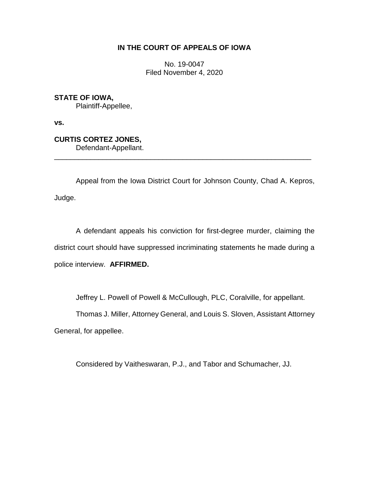# **IN THE COURT OF APPEALS OF IOWA**

No. 19-0047 Filed November 4, 2020

**STATE OF IOWA,** Plaintiff-Appellee,

**vs.**

**CURTIS CORTEZ JONES,**

Defendant-Appellant.

Appeal from the Iowa District Court for Johnson County, Chad A. Kepros, Judge.

\_\_\_\_\_\_\_\_\_\_\_\_\_\_\_\_\_\_\_\_\_\_\_\_\_\_\_\_\_\_\_\_\_\_\_\_\_\_\_\_\_\_\_\_\_\_\_\_\_\_\_\_\_\_\_\_\_\_\_\_\_\_\_\_

A defendant appeals his conviction for first-degree murder, claiming the district court should have suppressed incriminating statements he made during a police interview. **AFFIRMED.**

Jeffrey L. Powell of Powell & McCullough, PLC, Coralville, for appellant.

Thomas J. Miller, Attorney General, and Louis S. Sloven, Assistant Attorney General, for appellee.

Considered by Vaitheswaran, P.J., and Tabor and Schumacher, JJ.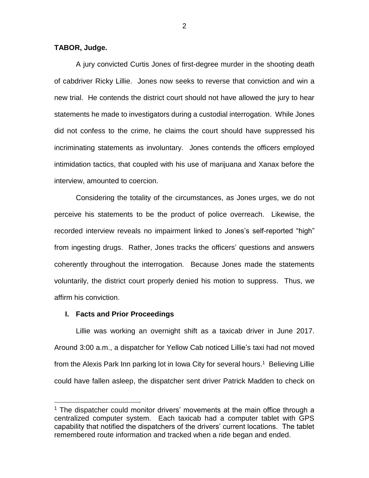### **TABOR, Judge.**

A jury convicted Curtis Jones of first-degree murder in the shooting death of cabdriver Ricky Lillie. Jones now seeks to reverse that conviction and win a new trial. He contends the district court should not have allowed the jury to hear statements he made to investigators during a custodial interrogation. While Jones did not confess to the crime, he claims the court should have suppressed his incriminating statements as involuntary. Jones contends the officers employed intimidation tactics, that coupled with his use of marijuana and Xanax before the interview, amounted to coercion.

 Considering the totality of the circumstances, as Jones urges, we do not perceive his statements to be the product of police overreach. Likewise, the recorded interview reveals no impairment linked to Jones's self-reported "high" from ingesting drugs. Rather, Jones tracks the officers' questions and answers coherently throughout the interrogation. Because Jones made the statements voluntarily, the district court properly denied his motion to suppress. Thus, we affirm his conviction.

#### **I. Facts and Prior Proceedings**

 $\overline{a}$ 

Lillie was working an overnight shift as a taxicab driver in June 2017. Around 3:00 a.m., a dispatcher for Yellow Cab noticed Lillie's taxi had not moved from the Alexis Park Inn parking lot in Iowa City for several hours.<sup>1</sup> Believing Lillie could have fallen asleep, the dispatcher sent driver Patrick Madden to check on

2

<sup>&</sup>lt;sup>1</sup> The dispatcher could monitor drivers' movements at the main office through a centralized computer system. Each taxicab had a computer tablet with GPS capability that notified the dispatchers of the drivers' current locations. The tablet remembered route information and tracked when a ride began and ended.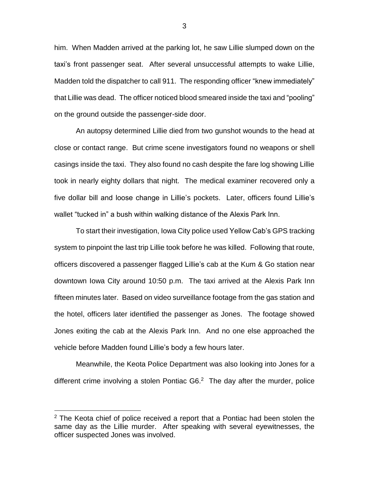him. When Madden arrived at the parking lot, he saw Lillie slumped down on the taxi's front passenger seat. After several unsuccessful attempts to wake Lillie, Madden told the dispatcher to call 911. The responding officer "knew immediately" that Lillie was dead. The officer noticed blood smeared inside the taxi and "pooling" on the ground outside the passenger-side door.

An autopsy determined Lillie died from two gunshot wounds to the head at close or contact range. But crime scene investigators found no weapons or shell casings inside the taxi. They also found no cash despite the fare log showing Lillie took in nearly eighty dollars that night. The medical examiner recovered only a five dollar bill and loose change in Lillie's pockets. Later, officers found Lillie's wallet "tucked in" a bush within walking distance of the Alexis Park Inn.

To start their investigation, Iowa City police used Yellow Cab's GPS tracking system to pinpoint the last trip Lillie took before he was killed. Following that route, officers discovered a passenger flagged Lillie's cab at the Kum & Go station near downtown Iowa City around 10:50 p.m. The taxi arrived at the Alexis Park Inn fifteen minutes later. Based on video surveillance footage from the gas station and the hotel, officers later identified the passenger as Jones. The footage showed Jones exiting the cab at the Alexis Park Inn. And no one else approached the vehicle before Madden found Lillie's body a few hours later.

Meanwhile, the Keota Police Department was also looking into Jones for a different crime involving a stolen Pontiac  $G6<sup>2</sup>$  The day after the murder, police

 $\overline{a}$ 

3

 $2$  The Keota chief of police received a report that a Pontiac had been stolen the same day as the Lillie murder. After speaking with several eyewitnesses, the officer suspected Jones was involved.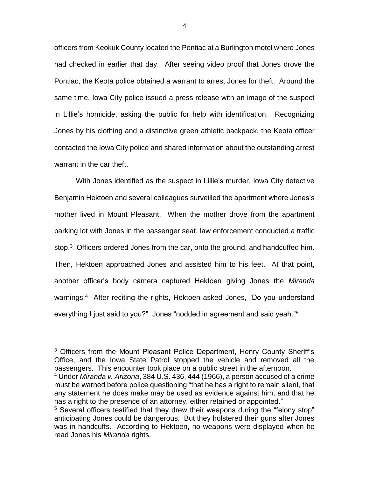officers from Keokuk County located the Pontiac at a Burlington motel where Jones had checked in earlier that day. After seeing video proof that Jones drove the Pontiac, the Keota police obtained a warrant to arrest Jones for theft. Around the same time, Iowa City police issued a press release with an image of the suspect in Lillie's homicide, asking the public for help with identification. Recognizing Jones by his clothing and a distinctive green athletic backpack, the Keota officer contacted the Iowa City police and shared information about the outstanding arrest warrant in the car theft.

With Jones identified as the suspect in Lillie's murder, Iowa City detective Benjamin Hektoen and several colleagues surveilled the apartment where Jones's mother lived in Mount Pleasant. When the mother drove from the apartment parking lot with Jones in the passenger seat, law enforcement conducted a traffic stop.<sup>3</sup> Officers ordered Jones from the car, onto the ground, and handcuffed him. Then, Hektoen approached Jones and assisted him to his feet. At that point, another officer's body camera captured Hektoen giving Jones the *Miranda*  warnings.<sup>4</sup> After reciting the rights, Hektoen asked Jones, "Do you understand everything I just said to you?" Jones "nodded in agreement and said yeah."<sup>5</sup>

<sup>&</sup>lt;sup>3</sup> Officers from the Mount Pleasant Police Department, Henry County Sheriff's Office, and the Iowa State Patrol stopped the vehicle and removed all the passengers. This encounter took place on a public street in the afternoon.

<sup>4</sup> Under *Miranda v. Arizona*, 384 U.S. 436, 444 (1966), a person accused of a crime must be warned before police questioning "that he has a right to remain silent, that any statement he does make may be used as evidence against him, and that he has a right to the presence of an attorney, either retained or appointed."

<sup>&</sup>lt;sup>5</sup> Several officers testified that they drew their weapons during the "felony stop" anticipating Jones could be dangerous. But they holstered their guns after Jones was in handcuffs. According to Hektoen, no weapons were displayed when he read Jones his *Miranda* rights.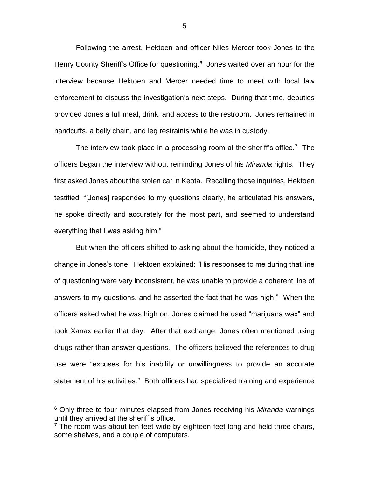Following the arrest, Hektoen and officer Niles Mercer took Jones to the Henry County Sheriff's Office for questioning. <sup>6</sup> Jones waited over an hour for the interview because Hektoen and Mercer needed time to meet with local law enforcement to discuss the investigation's next steps. During that time, deputies provided Jones a full meal, drink, and access to the restroom. Jones remained in handcuffs, a belly chain, and leg restraints while he was in custody.

The interview took place in a processing room at the sheriff's office.<sup>7</sup> The officers began the interview without reminding Jones of his *Miranda* rights. They first asked Jones about the stolen car in Keota. Recalling those inquiries, Hektoen testified: "[Jones] responded to my questions clearly, he articulated his answers, he spoke directly and accurately for the most part, and seemed to understand everything that I was asking him."

But when the officers shifted to asking about the homicide, they noticed a change in Jones's tone. Hektoen explained: "His responses to me during that line of questioning were very inconsistent, he was unable to provide a coherent line of answers to my questions, and he asserted the fact that he was high." When the officers asked what he was high on, Jones claimed he used "marijuana wax" and took Xanax earlier that day. After that exchange, Jones often mentioned using drugs rather than answer questions. The officers believed the references to drug use were "excuses for his inability or unwillingness to provide an accurate statement of his activities." Both officers had specialized training and experience

<sup>6</sup> Only three to four minutes elapsed from Jones receiving his *Miranda* warnings until they arrived at the sheriff's office.

 $7$  The room was about ten-feet wide by eighteen-feet long and held three chairs, some shelves, and a couple of computers.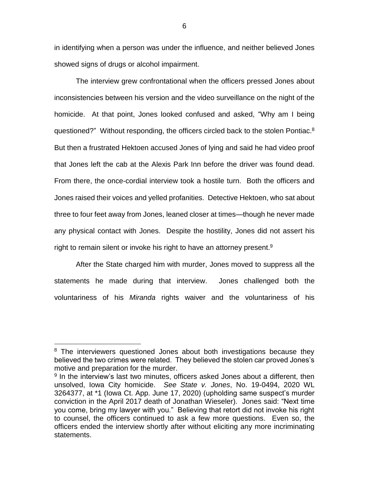in identifying when a person was under the influence, and neither believed Jones showed signs of drugs or alcohol impairment.

The interview grew confrontational when the officers pressed Jones about inconsistencies between his version and the video surveillance on the night of the homicide. At that point, Jones looked confused and asked, "Why am I being questioned?" Without responding, the officers circled back to the stolen Pontiac.<sup>8</sup> But then a frustrated Hektoen accused Jones of lying and said he had video proof that Jones left the cab at the Alexis Park Inn before the driver was found dead. From there, the once-cordial interview took a hostile turn. Both the officers and Jones raised their voices and yelled profanities. Detective Hektoen, who sat about three to four feet away from Jones, leaned closer at times—though he never made any physical contact with Jones. Despite the hostility, Jones did not assert his right to remain silent or invoke his right to have an attorney present.<sup>9</sup>

After the State charged him with murder, Jones moved to suppress all the statements he made during that interview. Jones challenged both the voluntariness of his *Miranda* rights waiver and the voluntariness of his

<sup>&</sup>lt;sup>8</sup> The interviewers questioned Jones about both investigations because they believed the two crimes were related. They believed the stolen car proved Jones's motive and preparation for the murder.

<sup>&</sup>lt;sup>9</sup> In the interview's last two minutes, officers asked Jones about a different, then unsolved, Iowa City homicide. *See State v. Jones*, No. 19-0494, 2020 WL 3264377, at \*1 (Iowa Ct. App. June 17, 2020) (upholding same suspect's murder conviction in the April 2017 death of Jonathan Wieseler). Jones said: "Next time you come, bring my lawyer with you." Believing that retort did not invoke his right to counsel, the officers continued to ask a few more questions. Even so, the officers ended the interview shortly after without eliciting any more incriminating statements.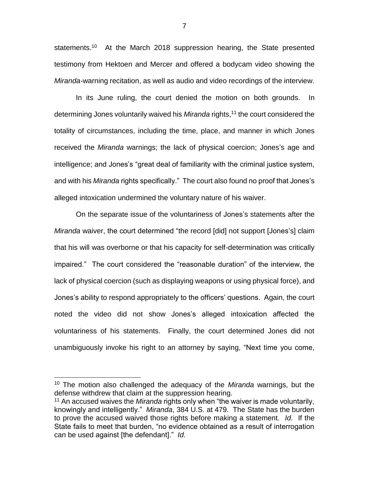statements.<sup>10</sup> At the March 2018 suppression hearing, the State presented testimony from Hektoen and Mercer and offered a bodycam video showing the *Miranda-*warning recitation, as well as audio and video recordings of the interview.

In its June ruling, the court denied the motion on both grounds. In determining Jones voluntarily waived his *Miranda* rights, <sup>11</sup> the court considered the totality of circumstances, including the time, place, and manner in which Jones received the *Miranda* warnings; the lack of physical coercion; Jones's age and intelligence; and Jones's "great deal of familiarity with the criminal justice system, and with his *Miranda* rights specifically." The court also found no proof that Jones's alleged intoxication undermined the voluntary nature of his waiver.

On the separate issue of the voluntariness of Jones's statements after the *Miranda* waiver, the court determined "the record [did] not support [Jones's] claim that his will was overborne or that his capacity for self-determination was critically impaired." The court considered the "reasonable duration" of the interview, the lack of physical coercion (such as displaying weapons or using physical force), and Jones's ability to respond appropriately to the officers' questions. Again, the court noted the video did not show Jones's alleged intoxication affected the voluntariness of his statements. Finally, the court determined Jones did not unambiguously invoke his right to an attorney by saying, "Next time you come,

<sup>10</sup> The motion also challenged the adequacy of the *Miranda* warnings, but the defense withdrew that claim at the suppression hearing.

<sup>11</sup> An accused waives the *Miranda* rights only when "the waiver is made voluntarily, knowingly and intelligently." *Miranda*, 384 U.S. at 479. The State has the burden to prove the accused waived those rights before making a statement. *Id.* If the State fails to meet that burden, "no evidence obtained as a result of interrogation can be used against [the defendant]." *Id.*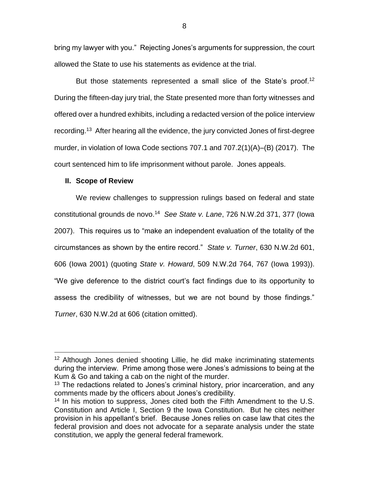bring my lawyer with you." Rejecting Jones's arguments for suppression, the court allowed the State to use his statements as evidence at the trial.

But those statements represented a small slice of the State's proof.<sup>12</sup> During the fifteen-day jury trial, the State presented more than forty witnesses and offered over a hundred exhibits, including a redacted version of the police interview recording.<sup>13</sup> After hearing all the evidence, the jury convicted Jones of first-degree murder, in violation of Iowa Code sections 707.1 and  $707.2(1)(A)$ –(B) (2017). The court sentenced him to life imprisonment without parole. Jones appeals.

## **II. Scope of Review**

 $\overline{a}$ 

We review challenges to suppression rulings based on federal and state constitutional grounds de novo.<sup>14</sup> *See State v. Lane*, 726 N.W.2d 371, 377 (Iowa 2007). This requires us to "make an independent evaluation of the totality of the circumstances as shown by the entire record." *State v. Turner*, 630 N.W.2d 601, 606 (Iowa 2001) (quoting *State v. Howard*, 509 N.W.2d 764, 767 (Iowa 1993)). "We give deference to the district court's fact findings due to its opportunity to assess the credibility of witnesses, but we are not bound by those findings." *Turner*, 630 N.W.2d at 606 (citation omitted).

<sup>&</sup>lt;sup>12</sup> Although Jones denied shooting Lillie, he did make incriminating statements during the interview. Prime among those were Jones's admissions to being at the Kum & Go and taking a cab on the night of the murder.

 $13$  The redactions related to Jones's criminal history, prior incarceration, and any comments made by the officers about Jones's credibility.

<sup>&</sup>lt;sup>14</sup> In his motion to suppress, Jones cited both the Fifth Amendment to the U.S. Constitution and Article I, Section 9 the Iowa Constitution. But he cites neither provision in his appellant's brief. Because Jones relies on case law that cites the federal provision and does not advocate for a separate analysis under the state constitution, we apply the general federal framework.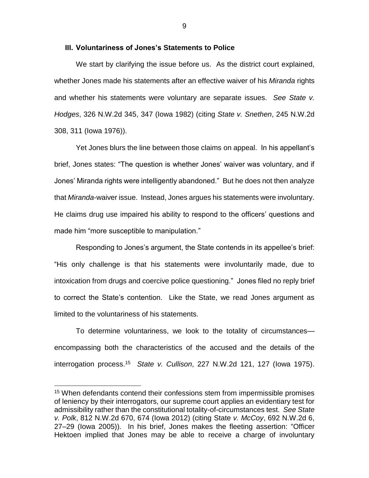### **III. Voluntariness of Jones's Statements to Police**

We start by clarifying the issue before us. As the district court explained, whether Jones made his statements after an effective waiver of his *Miranda* rights and whether his statements were voluntary are separate issues. *See State v. Hodges*, 326 N.W.2d 345, 347 (Iowa 1982) (citing *State v. Snethen*, 245 N.W.2d 308, 311 (Iowa 1976)).

Yet Jones blurs the line between those claims on appeal. In his appellant's brief, Jones states: "The question is whether Jones' waiver was voluntary, and if Jones' Miranda rights were intelligently abandoned." But he does not then analyze that *Miranda*-waiver issue. Instead, Jones argues his statements were involuntary. He claims drug use impaired his ability to respond to the officers' questions and made him "more susceptible to manipulation."

Responding to Jones's argument, the State contends in its appellee's brief: "His only challenge is that his statements were involuntarily made, due to intoxication from drugs and coercive police questioning." Jones filed no reply brief to correct the State's contention. Like the State, we read Jones argument as limited to the voluntariness of his statements.

To determine voluntariness, we look to the totality of circumstances encompassing both the characteristics of the accused and the details of the interrogation process. <sup>15</sup> *State v. Cullison*, 227 N.W.2d 121, 127 (Iowa 1975).

<sup>&</sup>lt;sup>15</sup> When defendants contend their confessions stem from impermissible promises of leniency by their interrogators, our supreme court applies an evidentiary test for admissibility rather than the constitutional totality-of-circumstances test. *See State v. Polk*, 812 N.W.2d 670, 674 (Iowa 2012) (citing State *v. McCoy*, 692 N.W.2d 6, 27–29 (Iowa 2005)). In his brief, Jones makes the fleeting assertion: "Officer Hektoen implied that Jones may be able to receive a charge of involuntary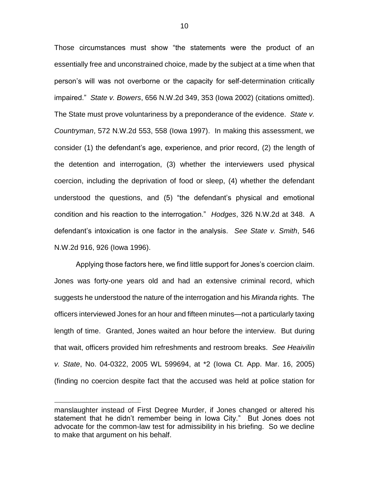Those circumstances must show "the statements were the product of an essentially free and unconstrained choice, made by the subject at a time when that person's will was not overborne or the capacity for self-determination critically impaired." *State v. Bowers*, 656 N.W.2d 349, 353 (Iowa 2002) (citations omitted). The State must prove voluntariness by a preponderance of the evidence. *State v. Countryman*, 572 N.W.2d 553, 558 (Iowa 1997). In making this assessment, we consider (1) the defendant's age, experience, and prior record, (2) the length of the detention and interrogation, (3) whether the interviewers used physical coercion, including the deprivation of food or sleep, (4) whether the defendant understood the questions, and (5) "the defendant's physical and emotional condition and his reaction to the interrogation." *Hodges*, 326 N.W.2d at 348. A defendant's intoxication is one factor in the analysis. *See State v. Smith*, 546 N.W.2d 916, 926 (Iowa 1996).

Applying those factors here, we find little support for Jones's coercion claim. Jones was forty-one years old and had an extensive criminal record, which suggests he understood the nature of the interrogation and his *Miranda* rights. The officers interviewed Jones for an hour and fifteen minutes—not a particularly taxing length of time. Granted, Jones waited an hour before the interview. But during that wait, officers provided him refreshments and restroom breaks. *See Heaivilin v. State*, No. 04-0322, 2005 WL 599694, at \*2 (Iowa Ct. App. Mar. 16, 2005) (finding no coercion despite fact that the accused was held at police station for

manslaughter instead of First Degree Murder, if Jones changed or altered his statement that he didn't remember being in Iowa City." But Jones does not advocate for the common-law test for admissibility in his briefing. So we decline to make that argument on his behalf.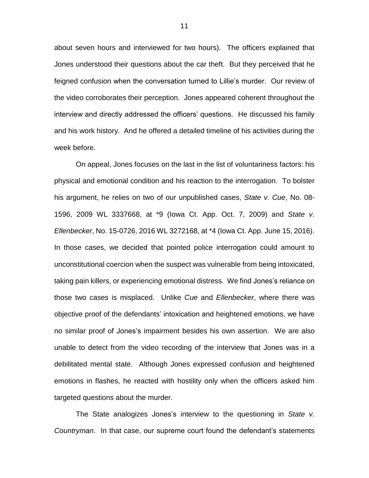about seven hours and interviewed for two hours). The officers explained that Jones understood their questions about the car theft. But they perceived that he feigned confusion when the conversation turned to Lillie's murder. Our review of the video corroborates their perception. Jones appeared coherent throughout the interview and directly addressed the officers' questions. He discussed his family and his work history. And he offered a detailed timeline of his activities during the week before.

On appeal, Jones focuses on the last in the list of voluntariness factors: his physical and emotional condition and his reaction to the interrogation. To bolster his argument, he relies on two of our unpublished cases, *State v. Cue*, No. 08- 1596, 2009 WL 3337668, at \*9 (Iowa Ct. App. Oct. 7, 2009) and *State v. Ellenbecker*, No. 15-0726, 2016 WL 3272168, at \*4 (Iowa Ct. App. June 15, 2016). In those cases, we decided that pointed police interrogation could amount to unconstitutional coercion when the suspect was vulnerable from being intoxicated, taking pain killers, or experiencing emotional distress. We find Jones's reliance on those two cases is misplaced. Unlike *Cue* and *Ellenbecker*, where there was objective proof of the defendants' intoxication and heightened emotions, we have no similar proof of Jones's impairment besides his own assertion. We are also unable to detect from the video recording of the interview that Jones was in a debilitated mental state. Although Jones expressed confusion and heightened emotions in flashes, he reacted with hostility only when the officers asked him targeted questions about the murder.

The State analogizes Jones's interview to the questioning in *State v. Countryman*. In that case, our supreme court found the defendant's statements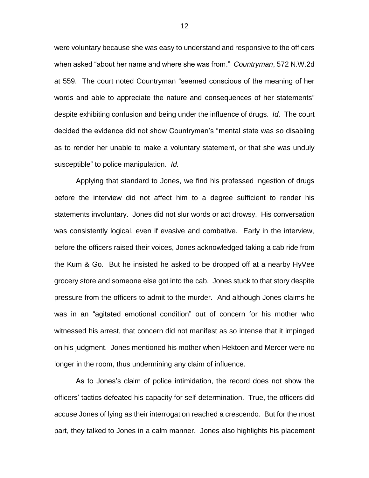were voluntary because she was easy to understand and responsive to the officers when asked "about her name and where she was from." *Countryman*, 572 N.W.2d at 559. The court noted Countryman "seemed conscious of the meaning of her words and able to appreciate the nature and consequences of her statements" despite exhibiting confusion and being under the influence of drugs. *Id.* The court decided the evidence did not show Countryman's "mental state was so disabling as to render her unable to make a voluntary statement, or that she was unduly susceptible" to police manipulation. *Id.* 

Applying that standard to Jones, we find his professed ingestion of drugs before the interview did not affect him to a degree sufficient to render his statements involuntary. Jones did not slur words or act drowsy. His conversation was consistently logical, even if evasive and combative. Early in the interview, before the officers raised their voices, Jones acknowledged taking a cab ride from the Kum & Go. But he insisted he asked to be dropped off at a nearby HyVee grocery store and someone else got into the cab. Jones stuck to that story despite pressure from the officers to admit to the murder. And although Jones claims he was in an "agitated emotional condition" out of concern for his mother who witnessed his arrest, that concern did not manifest as so intense that it impinged on his judgment. Jones mentioned his mother when Hektoen and Mercer were no longer in the room, thus undermining any claim of influence.

As to Jones's claim of police intimidation, the record does not show the officers' tactics defeated his capacity for self-determination. True, the officers did accuse Jones of lying as their interrogation reached a crescendo. But for the most part, they talked to Jones in a calm manner. Jones also highlights his placement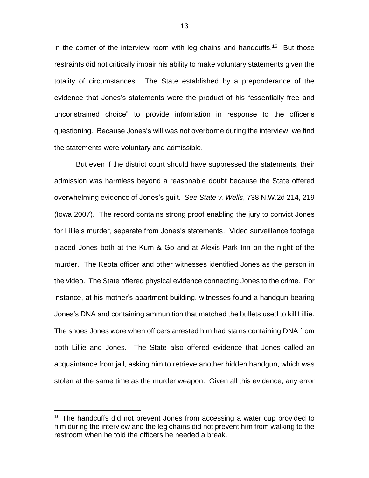in the corner of the interview room with leg chains and handcuffs.<sup>16</sup> But those restraints did not critically impair his ability to make voluntary statements given the totality of circumstances. The State established by a preponderance of the evidence that Jones's statements were the product of his "essentially free and unconstrained choice" to provide information in response to the officer's questioning. Because Jones's will was not overborne during the interview, we find the statements were voluntary and admissible.

But even if the district court should have suppressed the statements, their admission was harmless beyond a reasonable doubt because the State offered overwhelming evidence of Jones's guilt. *See State v. Wells*, 738 N.W.2d 214, 219 (Iowa 2007). The record contains strong proof enabling the jury to convict Jones for Lillie's murder, separate from Jones's statements. Video surveillance footage placed Jones both at the Kum & Go and at Alexis Park Inn on the night of the murder. The Keota officer and other witnesses identified Jones as the person in the video. The State offered physical evidence connecting Jones to the crime. For instance, at his mother's apartment building, witnesses found a handgun bearing Jones's DNA and containing ammunition that matched the bullets used to kill Lillie. The shoes Jones wore when officers arrested him had stains containing DNA from both Lillie and Jones. The State also offered evidence that Jones called an acquaintance from jail, asking him to retrieve another hidden handgun, which was stolen at the same time as the murder weapon. Given all this evidence, any error

<sup>&</sup>lt;sup>16</sup> The handcuffs did not prevent Jones from accessing a water cup provided to him during the interview and the leg chains did not prevent him from walking to the restroom when he told the officers he needed a break.